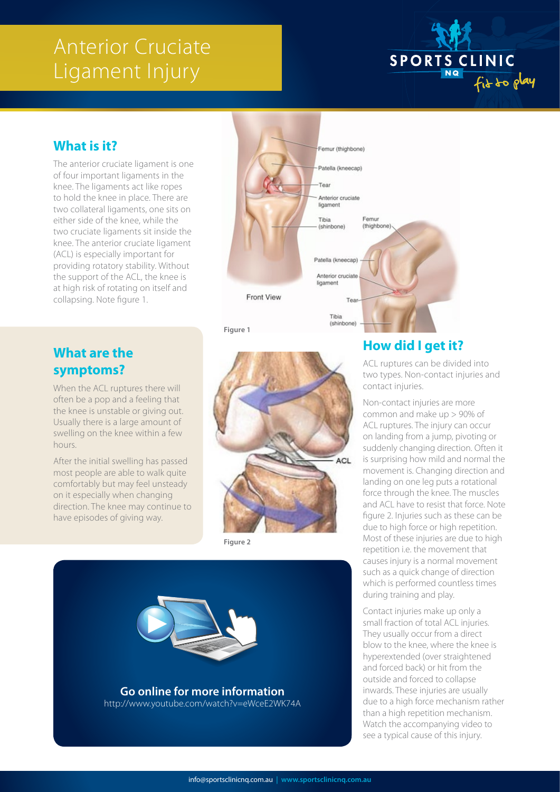# Anterior Cruciate Ligament Injury



# **What is it?**

The anterior cruciate ligament is one of four important ligaments in the knee. The ligaments act like ropes to hold the knee in place. There are two collateral ligaments, one sits on either side of the knee, while the two cruciate ligaments sit inside the knee. The anterior cruciate ligament (ACL) is especially important for providing rotatory stability. Without the support of the ACL, the knee is at high risk of rotating on itself and collapsing. Note figure 1.

#### **What are the symptoms?**

When the ACL ruptures there will often be a pop and a feeling that the knee is unstable or giving out. Usually there is a large amount of swelling on the knee within a few hours.

After the initial swelling has passed most people are able to walk quite comfortably but may feel unsteady on it especially when changing direction. The knee may continue to have episodes of giving way.



**Figure 1**



**Figure 2**



# **How did I get it?**

ACL ruptures can be divided into two types. Non-contact injuries and contact injuries.

Non-contact injuries are more common and make up > 90% of ACL ruptures. The injury can occur on landing from a jump, pivoting or suddenly changing direction. Often it is surprising how mild and normal the movement is. Changing direction and landing on one leg puts a rotational force through the knee. The muscles and ACL have to resist that force. Note figure 2. Injuries such as these can be due to high force or high repetition. Most of these injuries are due to high repetition i.e. the movement that causes injury is a normal movement such as a quick change of direction which is performed countless times during training and play.

Contact injuries make up only a small fraction of total ACL injuries. They usually occur from a direct blow to the knee, where the knee is hyperextended (over straightened and forced back) or hit from the outside and forced to collapse inwards. These injuries are usually due to a high force mechanism rather than a high repetition mechanism. Watch the accompanying video to see a typical cause of this injury.